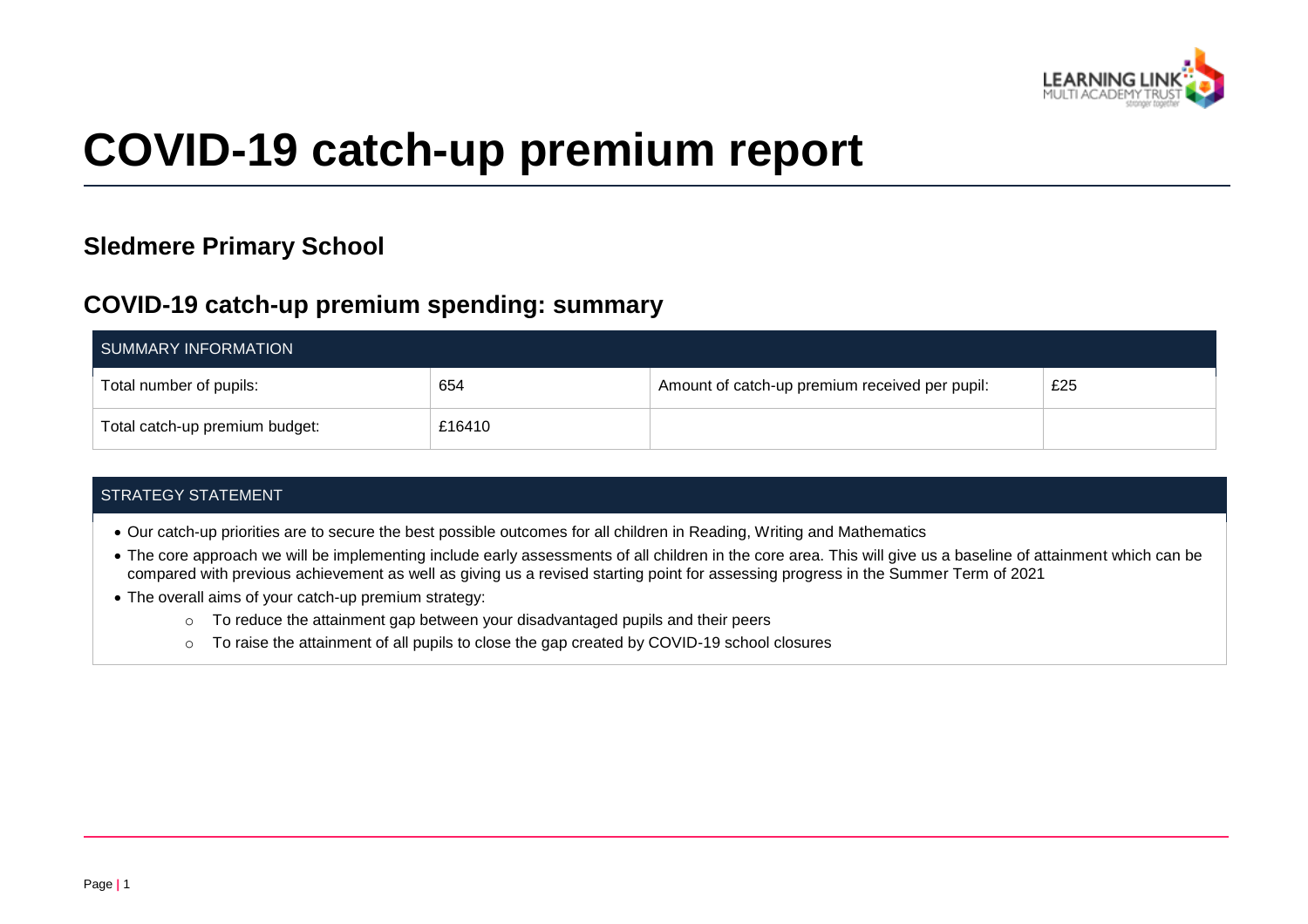

# **COVID-19 catch-up premium report**

## **Sledmere Primary School**

### **COVID-19 catch-up premium spending: summary**

| SUMMARY INFORMATION            |        |                                                |     |
|--------------------------------|--------|------------------------------------------------|-----|
| Total number of pupils:        | 654    | Amount of catch-up premium received per pupil: | £25 |
| Total catch-up premium budget: | £16410 |                                                |     |

#### STRATEGY STATEMENT

- Our catch-up priorities are to secure the best possible outcomes for all children in Reading, Writing and Mathematics
- The core approach we will be implementing include early assessments of all children in the core area. This will give us a baseline of attainment which can be compared with previous achievement as well as giving us a revised starting point for assessing progress in the Summer Term of 2021
- The overall aims of your catch-up premium strategy:
	- $\circ$  To reduce the attainment gap between your disadvantaged pupils and their peers
	- o To raise the attainment of all pupils to close the gap created by COVID-19 school closures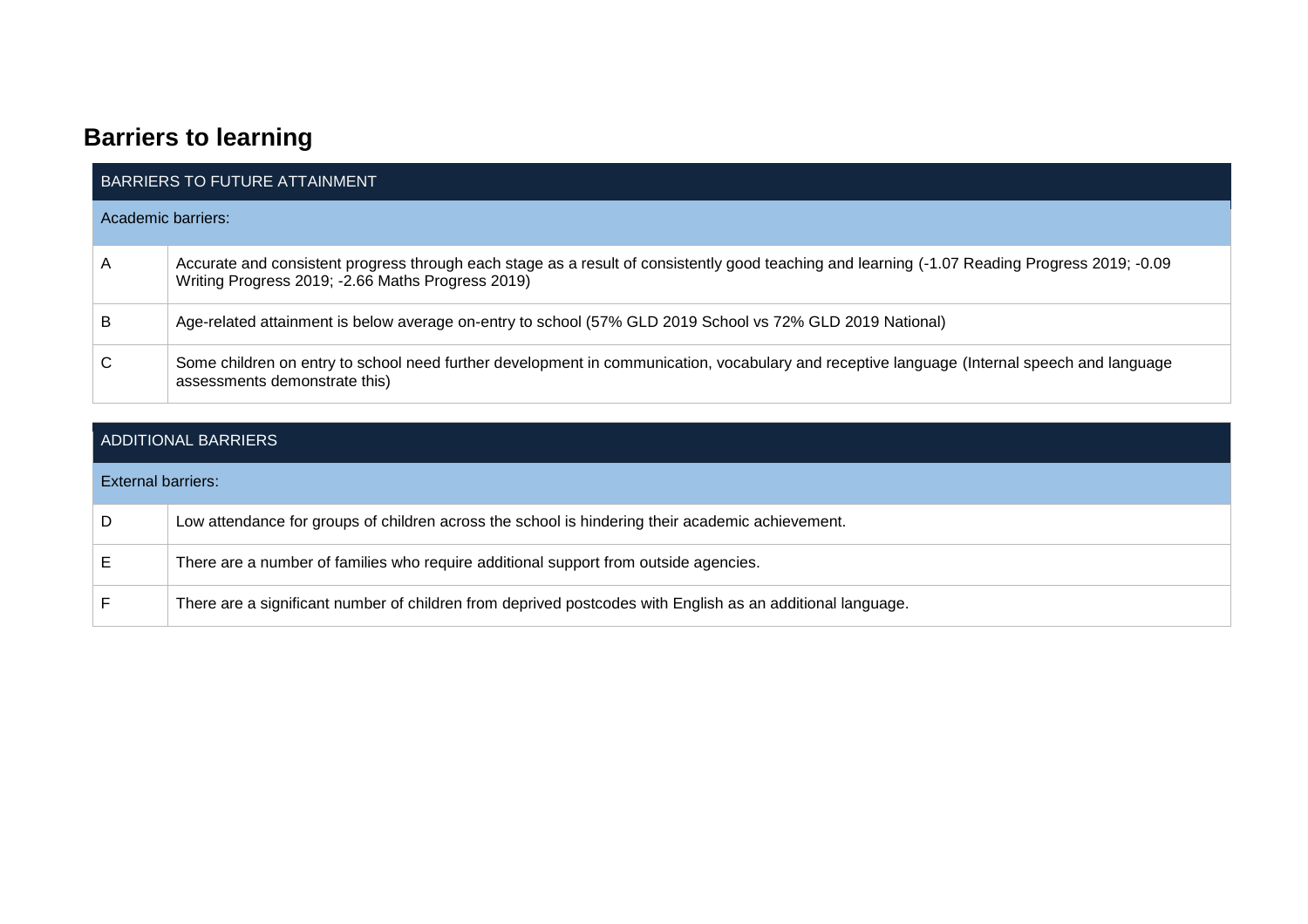# **Barriers to learning**

| <b>BARRIERS TO FUTURE ATTAINMENT</b> |                                                                                                                                                                                                     |  |  |  |
|--------------------------------------|-----------------------------------------------------------------------------------------------------------------------------------------------------------------------------------------------------|--|--|--|
|                                      | Academic barriers:                                                                                                                                                                                  |  |  |  |
| A                                    | Accurate and consistent progress through each stage as a result of consistently good teaching and learning (-1.07 Reading Progress 2019; -0.09<br>Writing Progress 2019; -2.66 Maths Progress 2019) |  |  |  |
| B                                    | Age-related attainment is below average on-entry to school (57% GLD 2019 School vs 72% GLD 2019 National)                                                                                           |  |  |  |
| С                                    | Some children on entry to school need further development in communication, vocabulary and receptive language (Internal speech and language<br>assessments demonstrate this)                        |  |  |  |

| ADDITIONAL BARRIERS |                                                                                                            |  |  |
|---------------------|------------------------------------------------------------------------------------------------------------|--|--|
| External barriers:  |                                                                                                            |  |  |
|                     | Low attendance for groups of children across the school is hindering their academic achievement.           |  |  |
|                     | There are a number of families who require additional support from outside agencies.                       |  |  |
|                     | There are a significant number of children from deprived postcodes with English as an additional language. |  |  |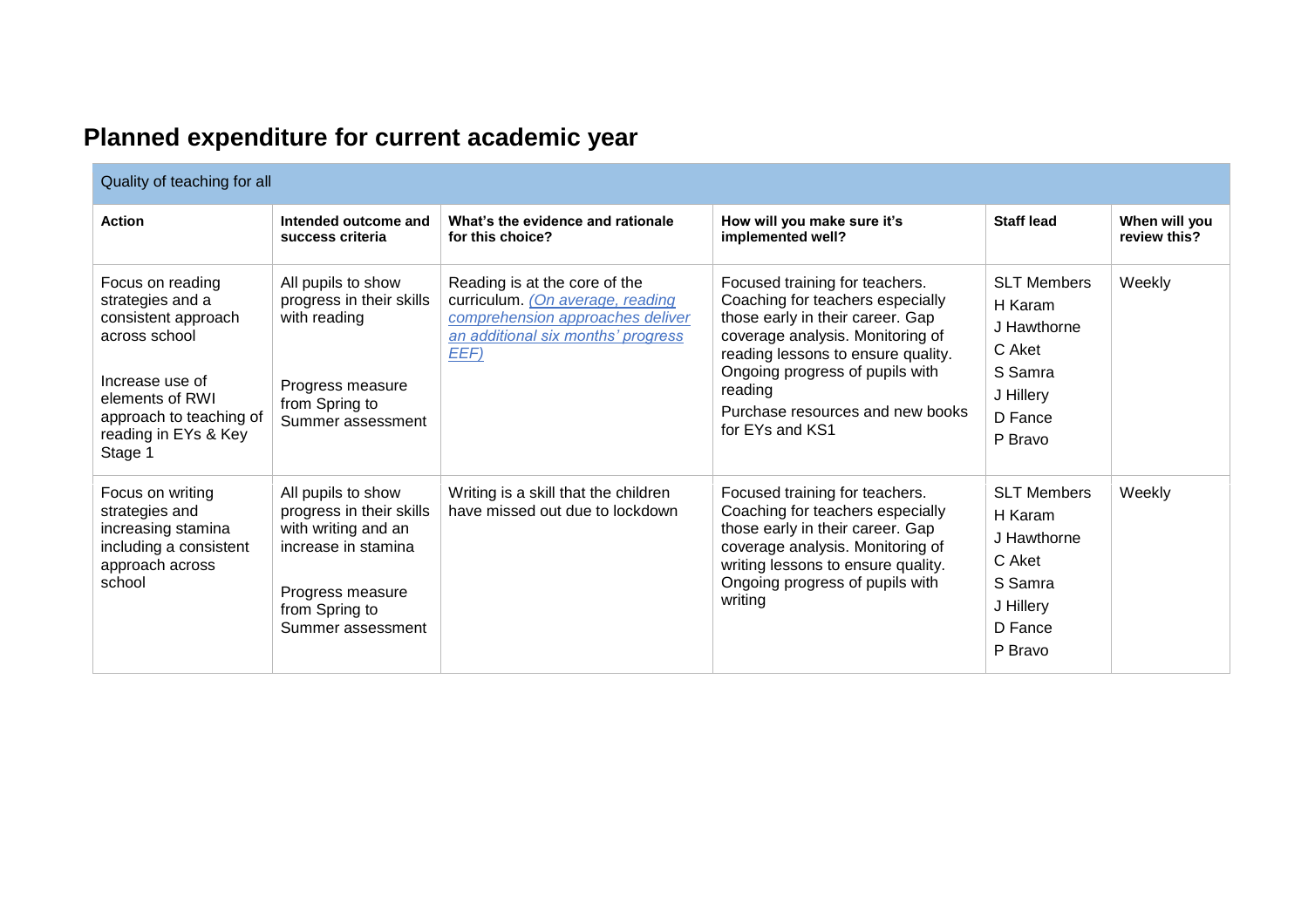| Planned expenditure for current academic year |  |
|-----------------------------------------------|--|
|-----------------------------------------------|--|

| Quality of teaching for all                                                                                                                                                      |                                                                                                                                                         |                                                                                                                                                     |                                                                                                                                                                                                                                                                                       |                                                                                                      |                               |
|----------------------------------------------------------------------------------------------------------------------------------------------------------------------------------|---------------------------------------------------------------------------------------------------------------------------------------------------------|-----------------------------------------------------------------------------------------------------------------------------------------------------|---------------------------------------------------------------------------------------------------------------------------------------------------------------------------------------------------------------------------------------------------------------------------------------|------------------------------------------------------------------------------------------------------|-------------------------------|
| <b>Action</b>                                                                                                                                                                    | Intended outcome and<br>success criteria                                                                                                                | What's the evidence and rationale<br>for this choice?                                                                                               | How will you make sure it's<br>implemented well?                                                                                                                                                                                                                                      | <b>Staff lead</b>                                                                                    | When will you<br>review this? |
| Focus on reading<br>strategies and a<br>consistent approach<br>across school<br>Increase use of<br>elements of RWI<br>approach to teaching of<br>reading in EYs & Key<br>Stage 1 | All pupils to show<br>progress in their skills<br>with reading<br>Progress measure<br>from Spring to<br>Summer assessment                               | Reading is at the core of the<br>curriculum. (On average, reading<br>comprehension approaches deliver<br>an additional six months' progress<br>EEF) | Focused training for teachers.<br>Coaching for teachers especially<br>those early in their career. Gap<br>coverage analysis. Monitoring of<br>reading lessons to ensure quality.<br>Ongoing progress of pupils with<br>reading<br>Purchase resources and new books<br>for EYs and KS1 | <b>SLT Members</b><br>H Karam<br>J Hawthorne<br>C Aket<br>S Samra<br>J Hillery<br>D Fance<br>P Bravo | Weekly                        |
| Focus on writing<br>strategies and<br>increasing stamina<br>including a consistent<br>approach across<br>school                                                                  | All pupils to show<br>progress in their skills<br>with writing and an<br>increase in stamina<br>Progress measure<br>from Spring to<br>Summer assessment | Writing is a skill that the children<br>have missed out due to lockdown                                                                             | Focused training for teachers.<br>Coaching for teachers especially<br>those early in their career. Gap<br>coverage analysis. Monitoring of<br>writing lessons to ensure quality.<br>Ongoing progress of pupils with<br>writing                                                        | <b>SLT Members</b><br>H Karam<br>J Hawthorne<br>C Aket<br>S Samra<br>J Hillery<br>D Fance<br>P Bravo | Weekly                        |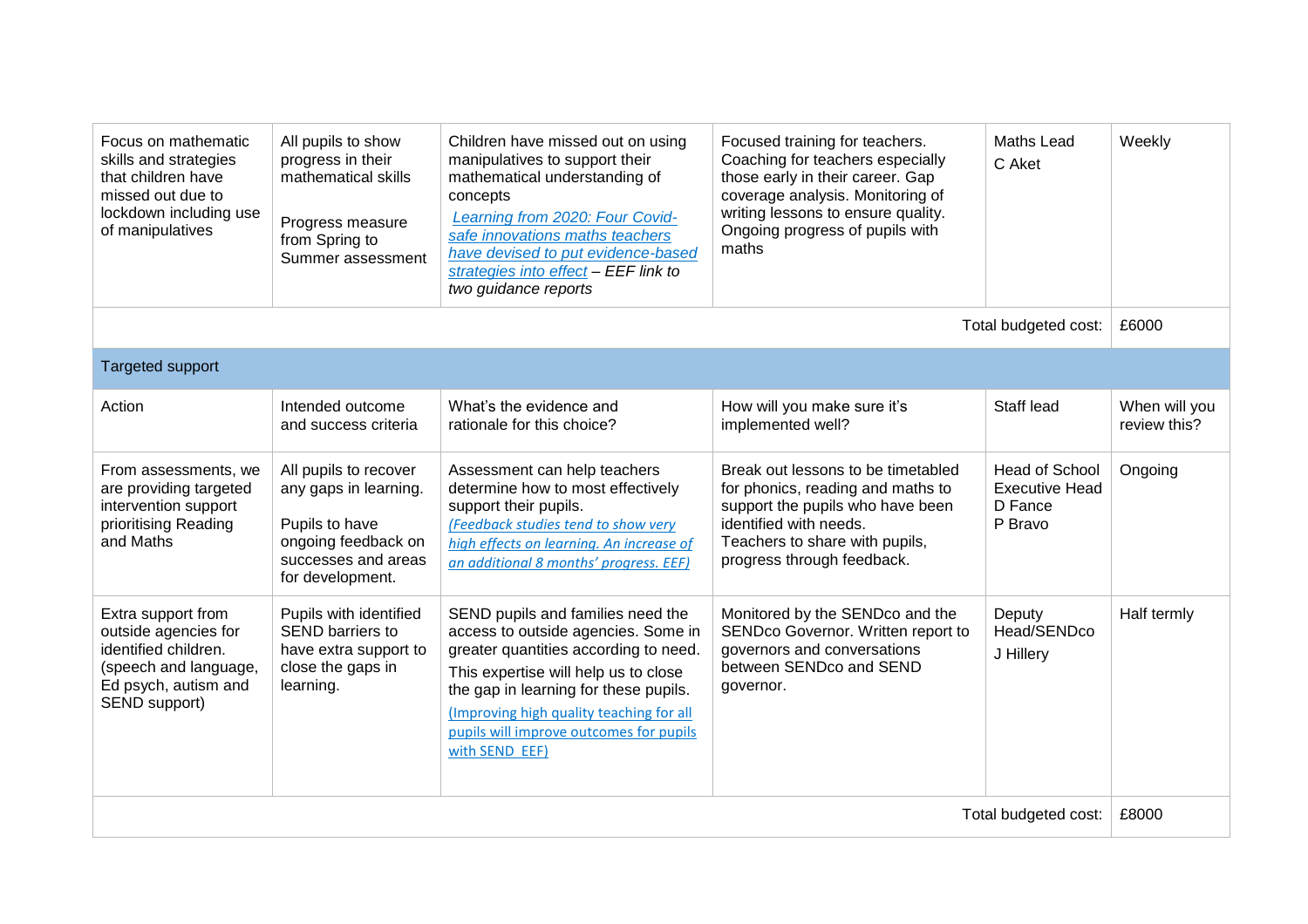| Focus on mathematic<br>skills and strategies<br>that children have<br>missed out due to<br>lockdown including use<br>of manipulatives | All pupils to show<br>progress in their<br>mathematical skills<br>Progress measure<br>from Spring to<br>Summer assessment          | Children have missed out on using<br>manipulatives to support their<br>mathematical understanding of<br>concepts<br>Learning from 2020: Four Covid-<br>safe innovations maths teachers<br>have devised to put evidence-based<br>strategies into effect - EEF link to<br>two guidance reports                | Focused training for teachers.<br>Coaching for teachers especially<br>those early in their career. Gap<br>coverage analysis. Monitoring of<br>writing lessons to ensure quality.<br>Ongoing progress of pupils with<br>maths | <b>Maths Lead</b><br>C Aket                                          | Weekly                        |
|---------------------------------------------------------------------------------------------------------------------------------------|------------------------------------------------------------------------------------------------------------------------------------|-------------------------------------------------------------------------------------------------------------------------------------------------------------------------------------------------------------------------------------------------------------------------------------------------------------|------------------------------------------------------------------------------------------------------------------------------------------------------------------------------------------------------------------------------|----------------------------------------------------------------------|-------------------------------|
|                                                                                                                                       |                                                                                                                                    |                                                                                                                                                                                                                                                                                                             |                                                                                                                                                                                                                              | Total budgeted cost:                                                 | £6000                         |
| Targeted support                                                                                                                      |                                                                                                                                    |                                                                                                                                                                                                                                                                                                             |                                                                                                                                                                                                                              |                                                                      |                               |
| Action                                                                                                                                | Intended outcome<br>and success criteria                                                                                           | What's the evidence and<br>rationale for this choice?                                                                                                                                                                                                                                                       | How will you make sure it's<br>implemented well?                                                                                                                                                                             | Staff lead                                                           | When will you<br>review this? |
| From assessments, we<br>are providing targeted<br>intervention support<br>prioritising Reading<br>and Maths                           | All pupils to recover<br>any gaps in learning.<br>Pupils to have<br>ongoing feedback on<br>successes and areas<br>for development. | Assessment can help teachers<br>determine how to most effectively<br>support their pupils.<br>(Feedback studies tend to show very<br>high effects on learning. An increase of<br>an additional 8 months' progress. EEF)                                                                                     | Break out lessons to be timetabled<br>for phonics, reading and maths to<br>support the pupils who have been<br>identified with needs.<br>Teachers to share with pupils,<br>progress through feedback.                        | <b>Head of School</b><br><b>Executive Head</b><br>D Fance<br>P Bravo | Ongoing                       |
| Extra support from<br>outside agencies for<br>identified children.<br>(speech and language,<br>Ed psych, autism and<br>SEND support)  | Pupils with identified<br>SEND barriers to<br>have extra support to<br>close the gaps in<br>learning.                              | SEND pupils and families need the<br>access to outside agencies. Some in<br>greater quantities according to need.<br>This expertise will help us to close<br>the gap in learning for these pupils.<br>(Improving high quality teaching for all<br>pupils will improve outcomes for pupils<br>with SEND EEF) | Monitored by the SENDco and the<br>SENDco Governor. Written report to<br>governors and conversations<br>between SENDco and SEND<br>governor.                                                                                 | Deputy<br>Head/SENDco<br>J Hillery                                   | Half termly                   |
| Total budgeted cost:                                                                                                                  |                                                                                                                                    |                                                                                                                                                                                                                                                                                                             |                                                                                                                                                                                                                              | £8000                                                                |                               |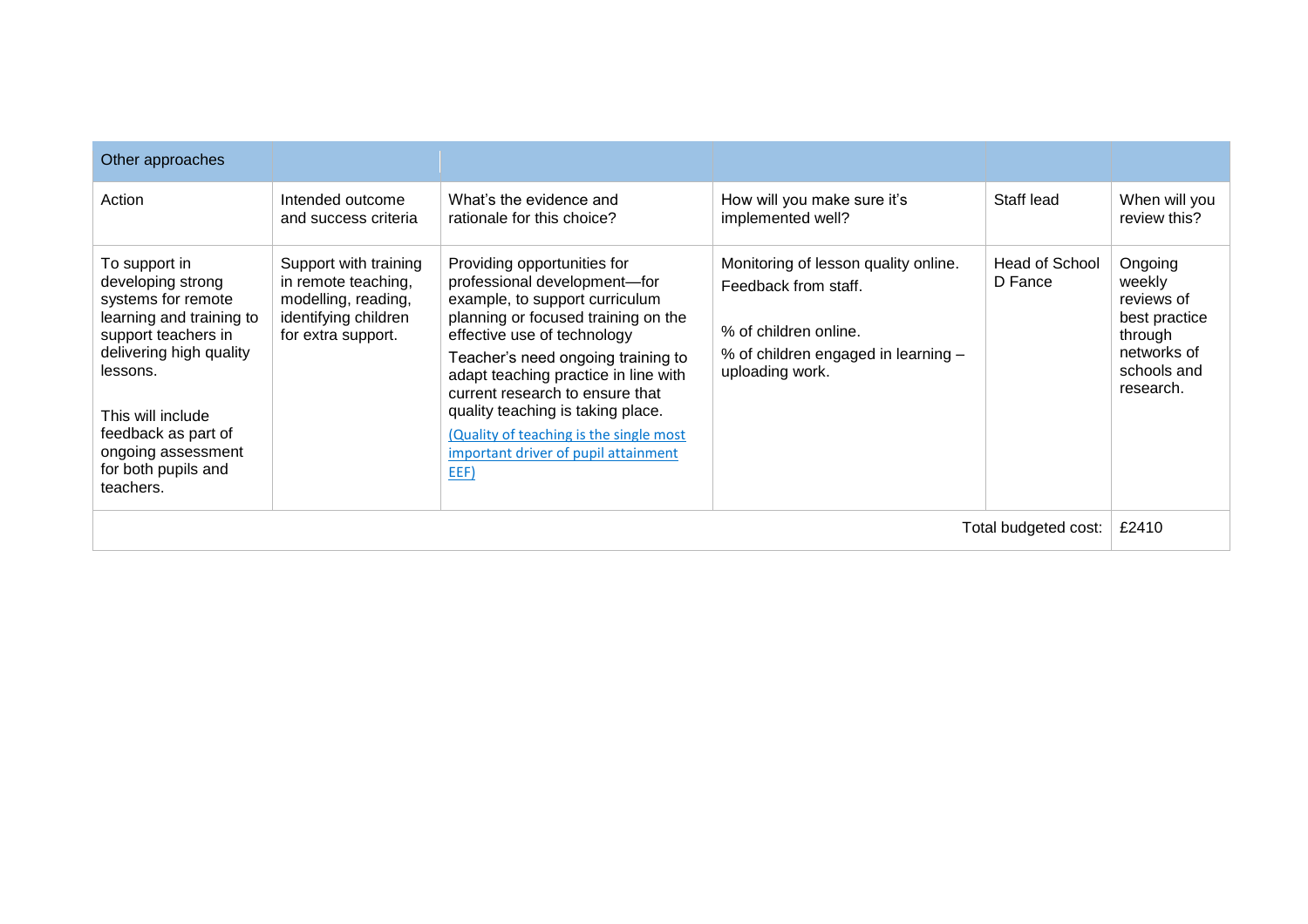| Other approaches                                                                                                                                                                                                                                         |                                                                                                                   |                                                                                                                                                                                                                                                                                                                                                                                                                      |                                                                                                                                                 |                           |                                                                                                        |
|----------------------------------------------------------------------------------------------------------------------------------------------------------------------------------------------------------------------------------------------------------|-------------------------------------------------------------------------------------------------------------------|----------------------------------------------------------------------------------------------------------------------------------------------------------------------------------------------------------------------------------------------------------------------------------------------------------------------------------------------------------------------------------------------------------------------|-------------------------------------------------------------------------------------------------------------------------------------------------|---------------------------|--------------------------------------------------------------------------------------------------------|
| Action                                                                                                                                                                                                                                                   | Intended outcome<br>and success criteria                                                                          | What's the evidence and<br>rationale for this choice?                                                                                                                                                                                                                                                                                                                                                                | How will you make sure it's<br>implemented well?                                                                                                | Staff lead                | When will you<br>review this?                                                                          |
| To support in<br>developing strong<br>systems for remote<br>learning and training to<br>support teachers in<br>delivering high quality<br>lessons.<br>This will include<br>feedback as part of<br>ongoing assessment<br>for both pupils and<br>teachers. | Support with training<br>in remote teaching,<br>modelling, reading,<br>identifying children<br>for extra support. | Providing opportunities for<br>professional development-for<br>example, to support curriculum<br>planning or focused training on the<br>effective use of technology<br>Teacher's need ongoing training to<br>adapt teaching practice in line with<br>current research to ensure that<br>quality teaching is taking place.<br>(Quality of teaching is the single most<br>important driver of pupil attainment<br>EEF) | Monitoring of lesson quality online.<br>Feedback from staff.<br>% of children online.<br>% of children engaged in learning -<br>uploading work. | Head of School<br>D Fance | Ongoing<br>weekly<br>reviews of<br>best practice<br>through<br>networks of<br>schools and<br>research. |
|                                                                                                                                                                                                                                                          |                                                                                                                   |                                                                                                                                                                                                                                                                                                                                                                                                                      |                                                                                                                                                 | Total budgeted cost:      | £2410                                                                                                  |